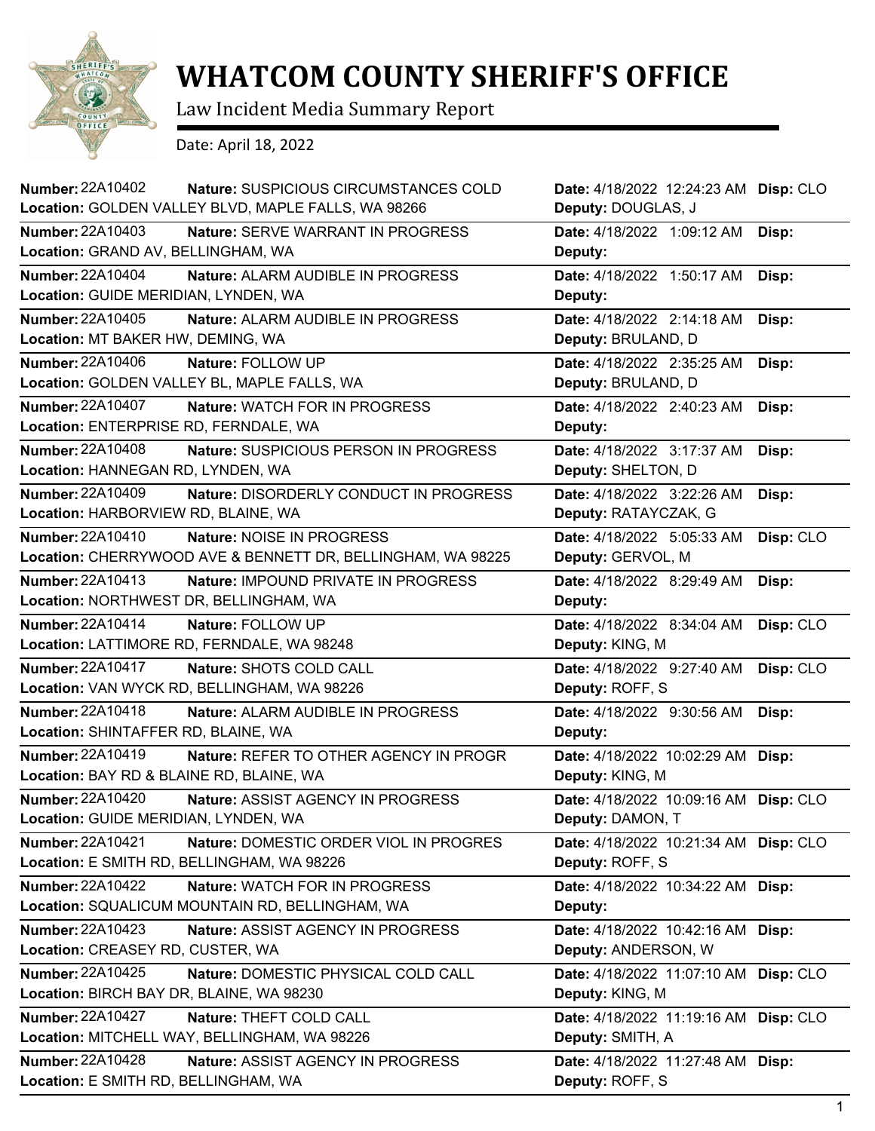

## **WHATCOM COUNTY SHERIFF'S OFFICE**

Law Incident Media Summary Report

Date: April 18, 2022

| Number: 22A10402                                                      | Nature: SUSPICIOUS CIRCUMSTANCES COLD                                                    | Date: 4/18/2022 12:24:23 AM Disp: CLO                     |           |
|-----------------------------------------------------------------------|------------------------------------------------------------------------------------------|-----------------------------------------------------------|-----------|
|                                                                       | Location: GOLDEN VALLEY BLVD, MAPLE FALLS, WA 98266                                      | Deputy: DOUGLAS, J                                        |           |
| <b>Number: 22A10403</b><br>Location: GRAND AV, BELLINGHAM, WA         | Nature: SERVE WARRANT IN PROGRESS                                                        | Date: 4/18/2022 1:09:12 AM<br>Deputy:                     | Disp:     |
| <b>Number: 22A10404</b><br>Location: GUIDE MERIDIAN, LYNDEN, WA       | Nature: ALARM AUDIBLE IN PROGRESS                                                        | Date: 4/18/2022 1:50:17 AM<br>Deputy:                     | Disp:     |
| <b>Number: 22A10405</b><br>Location: MT BAKER HW, DEMING, WA          | Nature: ALARM AUDIBLE IN PROGRESS                                                        | Date: 4/18/2022 2:14:18 AM<br>Deputy: BRULAND, D          | Disp:     |
| Number: 22A10406                                                      | Nature: FOLLOW UP<br>Location: GOLDEN VALLEY BL, MAPLE FALLS, WA                         | Date: 4/18/2022 2:35:25 AM<br>Deputy: BRULAND, D          | Disp:     |
| <b>Number: 22A10407</b><br>Location: ENTERPRISE RD, FERNDALE, WA      | Nature: WATCH FOR IN PROGRESS                                                            | Date: 4/18/2022 2:40:23 AM<br>Deputy:                     | Disp:     |
| <b>Number: 22A10408</b><br>Location: HANNEGAN RD, LYNDEN, WA          | Nature: SUSPICIOUS PERSON IN PROGRESS                                                    | Date: 4/18/2022 3:17:37 AM<br>Deputy: SHELTON, D          | Disp:     |
| <b>Number: 22A10409</b><br>Location: HARBORVIEW RD, BLAINE, WA        | Nature: DISORDERLY CONDUCT IN PROGRESS                                                   | Date: 4/18/2022 3:22:26 AM<br>Deputy: RATAYCZAK, G        | Disp:     |
| Number: 22A10410                                                      | Nature: NOISE IN PROGRESS<br>Location: CHERRYWOOD AVE & BENNETT DR, BELLINGHAM, WA 98225 | Date: 4/18/2022 5:05:33 AM<br>Deputy: GERVOL, M           | Disp: CLO |
| Number: 22A10413<br>Location: NORTHWEST DR, BELLINGHAM, WA            | Nature: IMPOUND PRIVATE IN PROGRESS                                                      | Date: 4/18/2022 8:29:49 AM<br>Deputy:                     | Disp:     |
| <b>Number: 22A10414</b>                                               | Nature: FOLLOW UP<br>Location: LATTIMORE RD, FERNDALE, WA 98248                          | Date: 4/18/2022 8:34:04 AM<br>Deputy: KING, M             | Disp: CLO |
| <b>Number: 22A10417</b>                                               | Nature: SHOTS COLD CALL<br>Location: VAN WYCK RD, BELLINGHAM, WA 98226                   | Date: 4/18/2022 9:27:40 AM<br>Deputy: ROFF, S             | Disp: CLO |
| <b>Number: 22A10418</b><br>Location: SHINTAFFER RD, BLAINE, WA        | Nature: ALARM AUDIBLE IN PROGRESS                                                        | Date: 4/18/2022 9:30:56 AM<br>Deputy:                     | Disp:     |
| Number: 22A10419<br>Location: BAY RD & BLAINE RD, BLAINE, WA          | Nature: REFER TO OTHER AGENCY IN PROGR                                                   | Date: 4/18/2022 10:02:29 AM<br>Deputy: KING, M            | Disp:     |
| <b>Number: 22A10420</b><br>Location: GUIDE MERIDIAN, LYNDEN, WA       | Nature: ASSIST AGENCY IN PROGRESS                                                        | Date: 4/18/2022 10:09:16 AM Disp: CLO<br>Deputy: DAMON, T |           |
| <b>Number: 22A10421</b><br>Location: E SMITH RD, BELLINGHAM, WA 98226 | Nature: DOMESTIC ORDER VIOL IN PROGRES                                                   | Date: 4/18/2022 10:21:34 AM Disp: CLO<br>Deputy: ROFF, S  |           |
| Number: 22A10422                                                      | Nature: WATCH FOR IN PROGRESS<br>Location: SQUALICUM MOUNTAIN RD, BELLINGHAM, WA         | Date: 4/18/2022 10:34:22 AM<br>Deputy:                    | Disp:     |
| Number: 22A10423<br>Location: CREASEY RD, CUSTER, WA                  | Nature: ASSIST AGENCY IN PROGRESS                                                        | Date: 4/18/2022 10:42:16 AM<br>Deputy: ANDERSON, W        | Disp:     |
| <b>Number: 22A10425</b><br>Location: BIRCH BAY DR, BLAINE, WA 98230   | Nature: DOMESTIC PHYSICAL COLD CALL                                                      | Date: 4/18/2022 11:07:10 AM<br>Deputy: KING, M            | Disp: CLO |
| <b>Number: 22A10427</b>                                               | Nature: THEFT COLD CALL<br>Location: MITCHELL WAY, BELLINGHAM, WA 98226                  | Date: 4/18/2022 11:19:16 AM<br>Deputy: SMITH, A           | Disp: CLO |
| <b>Number: 22A10428</b><br>Location: E SMITH RD, BELLINGHAM, WA       | Nature: ASSIST AGENCY IN PROGRESS                                                        | Date: 4/18/2022 11:27:48 AM<br>Deputy: ROFF, S            | Disp:     |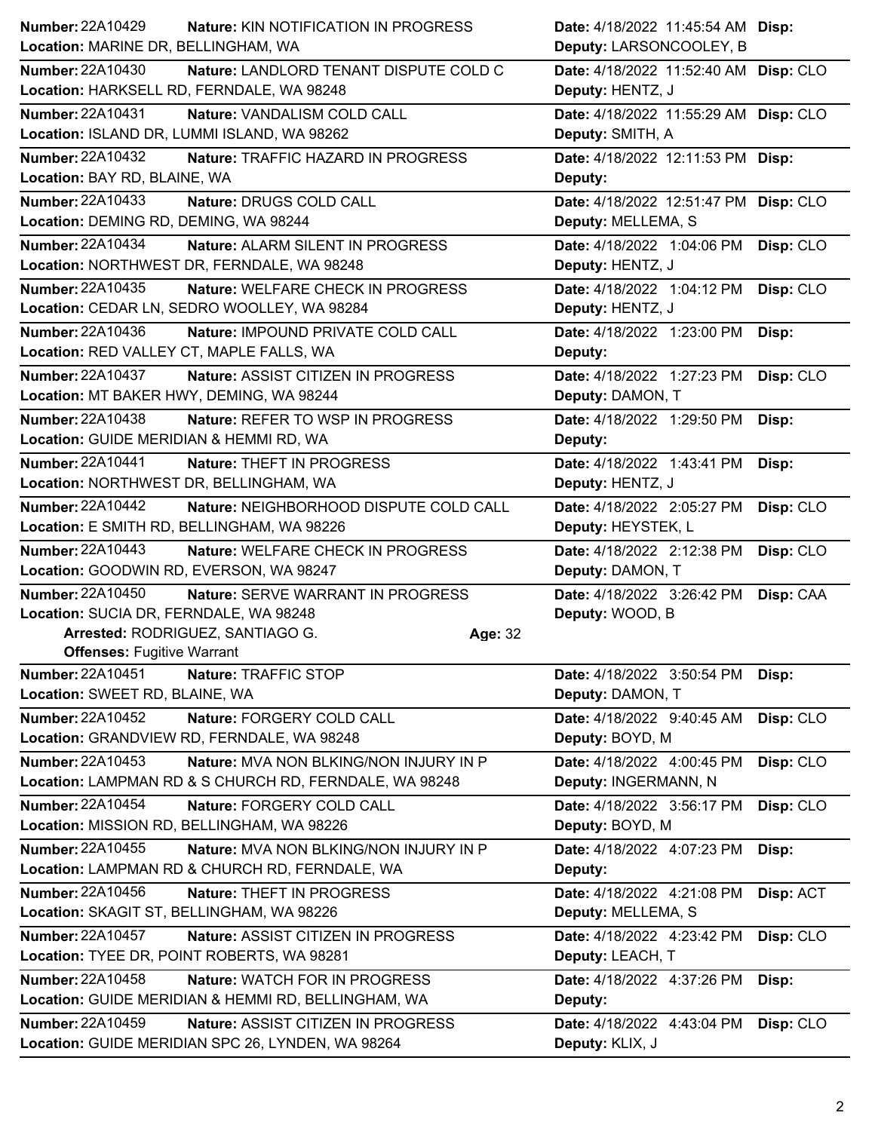| <b>Number: 22A10429</b><br>Nature: KIN NOTIFICATION IN PROGRESS     | Date: 4/18/2022 11:45:54 AM Disp:       |
|---------------------------------------------------------------------|-----------------------------------------|
| Location: MARINE DR, BELLINGHAM, WA                                 | Deputy: LARSONCOOLEY, B                 |
| <b>Number: 22A10430</b><br>Nature: LANDLORD TENANT DISPUTE COLD C   | Date: 4/18/2022 11:52:40 AM Disp: CLO   |
| Location: HARKSELL RD, FERNDALE, WA 98248                           | Deputy: HENTZ, J                        |
| <b>Number: 22A10431</b><br>Nature: VANDALISM COLD CALL              | Date: 4/18/2022 11:55:29 AM Disp: CLO   |
| Location: ISLAND DR, LUMMI ISLAND, WA 98262                         | Deputy: SMITH, A                        |
| <b>Number: 22A10432</b><br>Nature: TRAFFIC HAZARD IN PROGRESS       | Date: 4/18/2022 12:11:53 PM Disp:       |
| Location: BAY RD, BLAINE, WA                                        | Deputy:                                 |
| Number: 22A10433<br>Nature: DRUGS COLD CALL                         | Date: 4/18/2022 12:51:47 PM Disp: CLO   |
| Location: DEMING RD, DEMING, WA 98244                               | Deputy: MELLEMA, S                      |
| <b>Number: 22A10434</b><br>Nature: ALARM SILENT IN PROGRESS         | Date: 4/18/2022 1:04:06 PM<br>Disp: CLO |
| Location: NORTHWEST DR, FERNDALE, WA 98248                          | Deputy: HENTZ, J                        |
| <b>Number: 22A10435</b><br><b>Nature: WELFARE CHECK IN PROGRESS</b> | Date: 4/18/2022 1:04:12 PM<br>Disp: CLO |
| Location: CEDAR LN, SEDRO WOOLLEY, WA 98284                         | Deputy: HENTZ, J                        |
| Number: 22A10436<br>Nature: IMPOUND PRIVATE COLD CALL               | Date: 4/18/2022 1:23:00 PM<br>Disp:     |
| Location: RED VALLEY CT, MAPLE FALLS, WA                            | Deputy:                                 |
| <b>Number: 22A10437</b><br>Nature: ASSIST CITIZEN IN PROGRESS       | Date: 4/18/2022 1:27:23 PM<br>Disp: CLO |
| Location: MT BAKER HWY, DEMING, WA 98244                            | Deputy: DAMON, T                        |
| Number: 22A10438<br>Nature: REFER TO WSP IN PROGRESS                | Date: 4/18/2022 1:29:50 PM<br>Disp:     |
| Location: GUIDE MERIDIAN & HEMMI RD, WA                             | Deputy:                                 |
| <b>Number: 22A10441</b><br><b>Nature: THEFT IN PROGRESS</b>         | Date: 4/18/2022 1:43:41 PM<br>Disp:     |
| Location: NORTHWEST DR, BELLINGHAM, WA                              | Deputy: HENTZ, J                        |
| Number: 22A10442<br>Nature: NEIGHBORHOOD DISPUTE COLD CALL          | Date: 4/18/2022 2:05:27 PM<br>Disp: CLO |
| Location: E SMITH RD, BELLINGHAM, WA 98226                          | Deputy: HEYSTEK, L                      |
| <b>Number: 22A10443</b><br>Nature: WELFARE CHECK IN PROGRESS        | Date: 4/18/2022 2:12:38 PM<br>Disp: CLO |
|                                                                     |                                         |
| Location: GOODWIN RD, EVERSON, WA 98247                             | Deputy: DAMON, T                        |
| Number: 22A10450<br>Nature: SERVE WARRANT IN PROGRESS               | Date: 4/18/2022 3:26:42 PM Disp: CAA    |
| Location: SUCIA DR, FERNDALE, WA 98248                              | Deputy: WOOD, B                         |
| Arrested: RODRIGUEZ, SANTIAGO G.<br>Age: 32                         |                                         |
| <b>Offenses: Fugitive Warrant</b>                                   |                                         |
| <b>Number: 22A10451</b><br>Nature: TRAFFIC STOP                     | Date: 4/18/2022 3:50:54 PM<br>Disp:     |
| Location: SWEET RD, BLAINE, WA                                      | Deputy: DAMON, T                        |
| <b>Number: 22A10452</b><br>Nature: FORGERY COLD CALL                | Date: 4/18/2022 9:40:45 AM<br>Disp: CLO |
| Location: GRANDVIEW RD, FERNDALE, WA 98248                          | Deputy: BOYD, M                         |
| Number: 22A10453<br>Nature: MVA NON BLKING/NON INJURY IN P          | Date: 4/18/2022 4:00:45 PM<br>Disp: CLO |
| Location: LAMPMAN RD & S CHURCH RD, FERNDALE, WA 98248              | Deputy: INGERMANN, N                    |
| <b>Number: 22A10454</b><br>Nature: FORGERY COLD CALL                | Date: 4/18/2022 3:56:17 PM<br>Disp: CLO |
| Location: MISSION RD, BELLINGHAM, WA 98226                          | Deputy: BOYD, M                         |
| Number: 22A10455<br>Nature: MVA NON BLKING/NON INJURY IN P          | Date: 4/18/2022 4:07:23 PM<br>Disp:     |
| Location: LAMPMAN RD & CHURCH RD, FERNDALE, WA                      | Deputy:                                 |
| Number: 22A10456<br>Nature: THEFT IN PROGRESS                       | Date: 4/18/2022 4:21:08 PM<br>Disp: ACT |
| Location: SKAGIT ST, BELLINGHAM, WA 98226                           | Deputy: MELLEMA, S                      |
| Number: 22A10457<br>Nature: ASSIST CITIZEN IN PROGRESS              | Date: 4/18/2022 4:23:42 PM<br>Disp: CLO |
| Location: TYEE DR, POINT ROBERTS, WA 98281                          | Deputy: LEACH, T                        |
| Number: 22A10458<br>Nature: WATCH FOR IN PROGRESS                   | Date: 4/18/2022 4:37:26 PM<br>Disp:     |
| Location: GUIDE MERIDIAN & HEMMI RD, BELLINGHAM, WA                 | Deputy:                                 |
| <b>Number: 22A10459</b><br>Nature: ASSIST CITIZEN IN PROGRESS       | Date: 4/18/2022 4:43:04 PM<br>Disp: CLO |